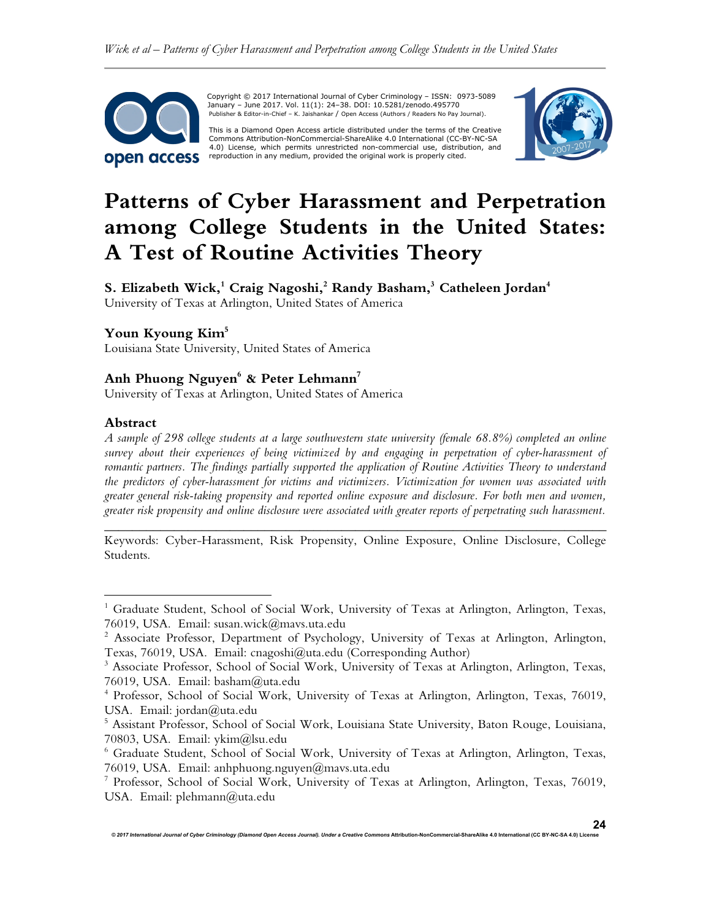

Copyright © 2017 International Journal of Cyber Criminology – ISSN: 0973-5089 January – June 2017. Vol. 11(1): 24–38. DOI: 10.5281/zenodo.495770 Publisher & Editor-in-Chief – K. Jaishankar / Open Access (Authors / Readers No Pay Journal).

This is a Diamond Open Access article distributed under the terms of the Creative<br>Commons Attribution-NonCommercial-ShareAlike 4.0 International (CC-BY-NC-SA 4.0) License, which permits unrestricted non-commercial use, distribution, and reproduction in any medium, provided the original work is properly cited.



# **Patterns of Cyber Harassment and Perpetration among College Students in the United States: A Test of Routine Activities Theory**

**S. Elizabeth Wick,<sup>1</sup> Craig Nagoshi,<sup>2</sup> Randy Basham, 3 Catheleen Jordan<sup>4</sup>** University of Texas at Arlington, United States of America

# **Youn Kyoung Kim<sup>5</sup>**

Louisiana State University, United States of America

# **Anh Phuong Nguyen<sup>6</sup> & Peter Lehmann<sup>7</sup>**

University of Texas at Arlington, United States of America

#### **Abstract**

 $\overline{a}$ 

*A sample of 298 college students at a large southwestern state university (female 68.8%) completed an online survey about their experiences of being victimized by and engaging in perpetration of cyber-harassment of romantic partners. The findings partially supported the application of Routine Activities Theory to understand the predictors of cyber-harassment for victims and victimizers. Victimization for women was associated with greater general risk-taking propensity and reported online exposure and disclosure. For both men and women, greater risk propensity and online disclosure were associated with greater reports of perpetrating such harassment.* 

*\_\_\_\_\_\_\_\_\_\_\_\_\_\_\_\_\_\_\_\_\_\_\_\_\_\_\_\_\_\_\_\_\_\_\_\_\_\_\_\_\_\_\_\_\_\_\_\_\_\_\_\_\_\_\_\_\_\_\_\_\_\_\_\_\_\_\_\_\_\_\_\_*  Keywords: Cyber-Harassment, Risk Propensity, Online Exposure, Online Disclosure, College Students.

<sup>&</sup>lt;sup>1</sup> Graduate Student, School of Social Work, University of Texas at Arlington, Arlington, Texas, 76019, USA. Email: susan.wick@mavs.uta.edu

 $2$  Associate Professor, Department of Psychology, University of Texas at Arlington, Arlington, Texas, 76019, USA. Email: cnagoshi@uta.edu (Corresponding Author)

<sup>&</sup>lt;sup>3</sup> Associate Professor, School of Social Work, University of Texas at Arlington, Arlington, Texas, 76019, USA. Email: basham@uta.edu

<sup>4</sup> Professor, School of Social Work, University of Texas at Arlington, Arlington, Texas, 76019, USA. Email: jordan@uta.edu

<sup>5</sup> Assistant Professor, School of Social Work, Louisiana State University, Baton Rouge, Louisiana, 70803, USA. Email: ykim@lsu.edu

<sup>6</sup> Graduate Student, School of Social Work, University of Texas at Arlington, Arlington, Texas, 76019, USA. Email: anhphuong.nguyen@mavs.uta.edu

<sup>7</sup> Professor, School of Social Work, University of Texas at Arlington, Arlington, Texas, 76019, USA. Email: plehmann@uta.edu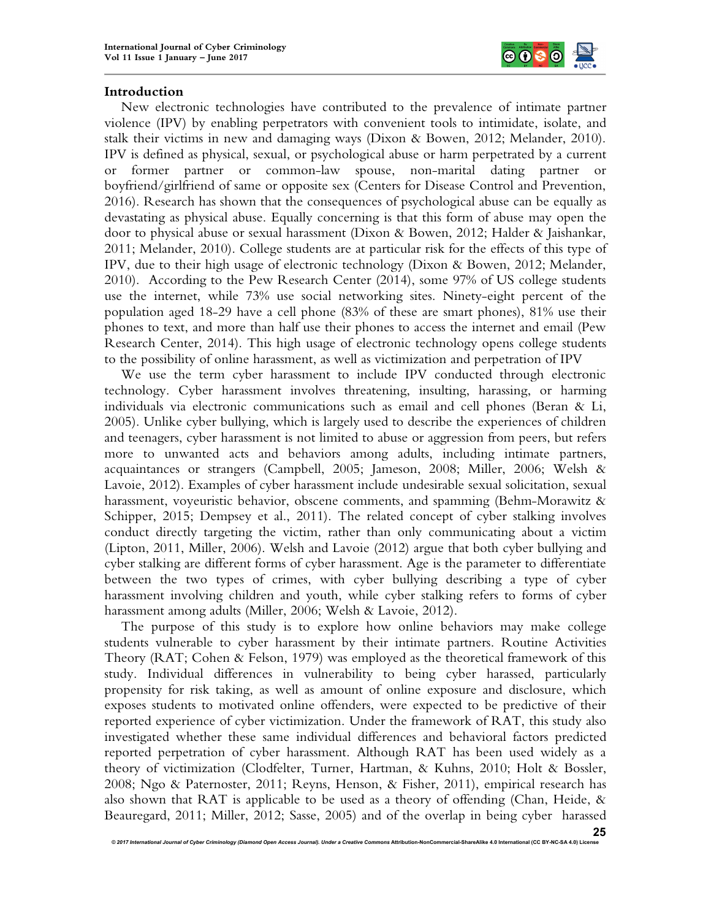

## **Introduction**

New electronic technologies have contributed to the prevalence of intimate partner violence (IPV) by enabling perpetrators with convenient tools to intimidate, isolate, and stalk their victims in new and damaging ways (Dixon & Bowen, 2012; Melander, 2010). IPV is defined as physical, sexual, or psychological abuse or harm perpetrated by a current or former partner or common-law spouse, non-marital dating partner or boyfriend/girlfriend of same or opposite sex (Centers for Disease Control and Prevention, 2016). Research has shown that the consequences of psychological abuse can be equally as devastating as physical abuse. Equally concerning is that this form of abuse may open the door to physical abuse or sexual harassment (Dixon & Bowen, 2012; Halder & Jaishankar, 2011; Melander, 2010). College students are at particular risk for the effects of this type of IPV, due to their high usage of electronic technology (Dixon & Bowen, 2012; Melander, 2010). According to the Pew Research Center (2014), some 97% of US college students use the internet, while 73% use social networking sites. Ninety-eight percent of the population aged 18-29 have a cell phone (83% of these are smart phones), 81% use their phones to text, and more than half use their phones to access the internet and email (Pew Research Center, 2014). This high usage of electronic technology opens college students to the possibility of online harassment, as well as victimization and perpetration of IPV

We use the term cyber harassment to include IPV conducted through electronic technology. Cyber harassment involves threatening, insulting, harassing, or harming individuals via electronic communications such as email and cell phones (Beran & Li, 2005). Unlike cyber bullying, which is largely used to describe the experiences of children and teenagers, cyber harassment is not limited to abuse or aggression from peers, but refers more to unwanted acts and behaviors among adults, including intimate partners, acquaintances or strangers (Campbell, 2005; Jameson, 2008; Miller, 2006; Welsh & Lavoie, 2012). Examples of cyber harassment include undesirable sexual solicitation, sexual harassment, voyeuristic behavior, obscene comments, and spamming (Behm-Morawitz & Schipper, 2015; Dempsey et al., 2011). The related concept of cyber stalking involves conduct directly targeting the victim, rather than only communicating about a victim (Lipton, 2011, Miller, 2006). Welsh and Lavoie (2012) argue that both cyber bullying and cyber stalking are different forms of cyber harassment. Age is the parameter to differentiate between the two types of crimes, with cyber bullying describing a type of cyber harassment involving children and youth, while cyber stalking refers to forms of cyber harassment among adults (Miller, 2006; Welsh & Lavoie, 2012).

The purpose of this study is to explore how online behaviors may make college students vulnerable to cyber harassment by their intimate partners. Routine Activities Theory (RAT; Cohen & Felson, 1979) was employed as the theoretical framework of this study. Individual differences in vulnerability to being cyber harassed, particularly propensity for risk taking, as well as amount of online exposure and disclosure, which exposes students to motivated online offenders, were expected to be predictive of their reported experience of cyber victimization. Under the framework of RAT, this study also investigated whether these same individual differences and behavioral factors predicted reported perpetration of cyber harassment. Although RAT has been used widely as a theory of victimization (Clodfelter, Turner, Hartman, & Kuhns, 2010; Holt & Bossler, 2008; Ngo & Paternoster, 2011; Reyns, Henson, & Fisher, 2011), empirical research has also shown that RAT is applicable to be used as a theory of offending (Chan, Heide, & Beauregard, 2011; Miller, 2012; Sasse, 2005) and of the overlap in being cyber harassed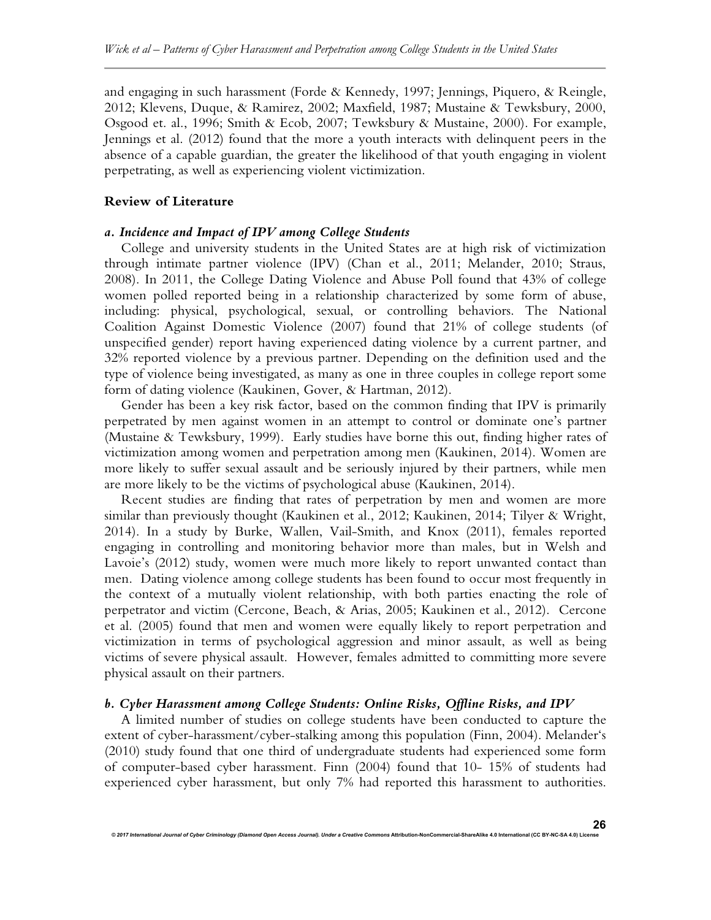and engaging in such harassment (Forde & Kennedy, 1997; Jennings, Piquero, & Reingle, 2012; Klevens, Duque, & Ramirez, 2002; Maxfield, 1987; Mustaine & Tewksbury, 2000, Osgood et. al., 1996; Smith & Ecob, 2007; Tewksbury & Mustaine, 2000). For example, Jennings et al. (2012) found that the more a youth interacts with delinquent peers in the absence of a capable guardian, the greater the likelihood of that youth engaging in violent perpetrating, as well as experiencing violent victimization.

#### **Review of Literature**

#### *a. Incidence and Impact of IPV among College Students*

College and university students in the United States are at high risk of victimization through intimate partner violence (IPV) (Chan et al., 2011; Melander, 2010; Straus, 2008). In 2011, the College Dating Violence and Abuse Poll found that 43% of college women polled reported being in a relationship characterized by some form of abuse, including: physical, psychological, sexual, or controlling behaviors. The National Coalition Against Domestic Violence (2007) found that 21% of college students (of unspecified gender) report having experienced dating violence by a current partner, and 32% reported violence by a previous partner. Depending on the definition used and the type of violence being investigated, as many as one in three couples in college report some form of dating violence (Kaukinen, Gover, & Hartman, 2012).

Gender has been a key risk factor, based on the common finding that IPV is primarily perpetrated by men against women in an attempt to control or dominate one's partner (Mustaine & Tewksbury, 1999). Early studies have borne this out, finding higher rates of victimization among women and perpetration among men (Kaukinen, 2014). Women are more likely to suffer sexual assault and be seriously injured by their partners, while men are more likely to be the victims of psychological abuse (Kaukinen, 2014).

Recent studies are finding that rates of perpetration by men and women are more similar than previously thought (Kaukinen et al., 2012; Kaukinen, 2014; Tilyer & Wright, 2014). In a study by Burke, Wallen, Vail-Smith, and Knox (2011), females reported engaging in controlling and monitoring behavior more than males, but in Welsh and Lavoie's (2012) study, women were much more likely to report unwanted contact than men. Dating violence among college students has been found to occur most frequently in the context of a mutually violent relationship, with both parties enacting the role of perpetrator and victim (Cercone, Beach, & Arias, 2005; Kaukinen et al., 2012). Cercone et al. (2005) found that men and women were equally likely to report perpetration and victimization in terms of psychological aggression and minor assault, as well as being victims of severe physical assault. However, females admitted to committing more severe physical assault on their partners.

## *b. Cyber Harassment among College Students: Online Risks, Offline Risks, and IPV*

A limited number of studies on college students have been conducted to capture the extent of cyber-harassment/cyber-stalking among this population (Finn, 2004). Melander's (2010) study found that one third of undergraduate students had experienced some form of computer-based cyber harassment. Finn (2004) found that 10- 15% of students had experienced cyber harassment, but only 7% had reported this harassment to authorities.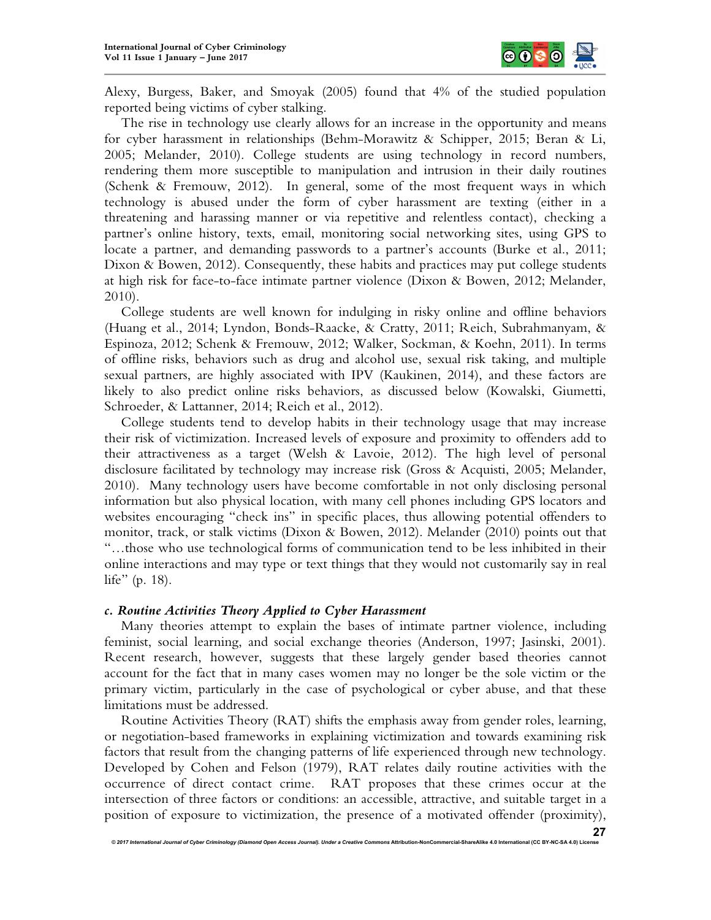

Alexy, Burgess, Baker, and Smoyak (2005) found that 4% of the studied population reported being victims of cyber stalking.

The rise in technology use clearly allows for an increase in the opportunity and means for cyber harassment in relationships (Behm-Morawitz & Schipper, 2015; Beran & Li, 2005; Melander, 2010). College students are using technology in record numbers, rendering them more susceptible to manipulation and intrusion in their daily routines (Schenk & Fremouw, 2012). In general, some of the most frequent ways in which technology is abused under the form of cyber harassment are texting (either in a threatening and harassing manner or via repetitive and relentless contact), checking a partner's online history, texts, email, monitoring social networking sites, using GPS to locate a partner, and demanding passwords to a partner's accounts (Burke et al., 2011; Dixon & Bowen, 2012). Consequently, these habits and practices may put college students at high risk for face-to-face intimate partner violence (Dixon & Bowen, 2012; Melander, 2010).

College students are well known for indulging in risky online and offline behaviors (Huang et al., 2014; Lyndon, Bonds-Raacke, & Cratty, 2011; Reich, Subrahmanyam, & Espinoza, 2012; Schenk & Fremouw, 2012; Walker, Sockman, & Koehn, 2011). In terms of offline risks, behaviors such as drug and alcohol use, sexual risk taking, and multiple sexual partners, are highly associated with IPV (Kaukinen, 2014), and these factors are likely to also predict online risks behaviors, as discussed below (Kowalski, Giumetti, Schroeder, & Lattanner, 2014; Reich et al., 2012).

College students tend to develop habits in their technology usage that may increase their risk of victimization. Increased levels of exposure and proximity to offenders add to their attractiveness as a target (Welsh & Lavoie, 2012). The high level of personal disclosure facilitated by technology may increase risk (Gross & Acquisti, 2005; Melander, 2010). Many technology users have become comfortable in not only disclosing personal information but also physical location, with many cell phones including GPS locators and websites encouraging "check ins" in specific places, thus allowing potential offenders to monitor, track, or stalk victims (Dixon & Bowen, 2012). Melander (2010) points out that "…those who use technological forms of communication tend to be less inhibited in their online interactions and may type or text things that they would not customarily say in real life" (p. 18).

## *c. Routine Activities Theory Applied to Cyber Harassment*

Many theories attempt to explain the bases of intimate partner violence, including feminist, social learning, and social exchange theories (Anderson, 1997; Jasinski, 2001). Recent research, however, suggests that these largely gender based theories cannot account for the fact that in many cases women may no longer be the sole victim or the primary victim, particularly in the case of psychological or cyber abuse, and that these limitations must be addressed.

Routine Activities Theory (RAT) shifts the emphasis away from gender roles, learning, or negotiation-based frameworks in explaining victimization and towards examining risk factors that result from the changing patterns of life experienced through new technology. Developed by Cohen and Felson (1979), RAT relates daily routine activities with the occurrence of direct contact crime. RAT proposes that these crimes occur at the intersection of three factors or conditions: an accessible, attractive, and suitable target in a position of exposure to victimization, the presence of a motivated offender (proximity),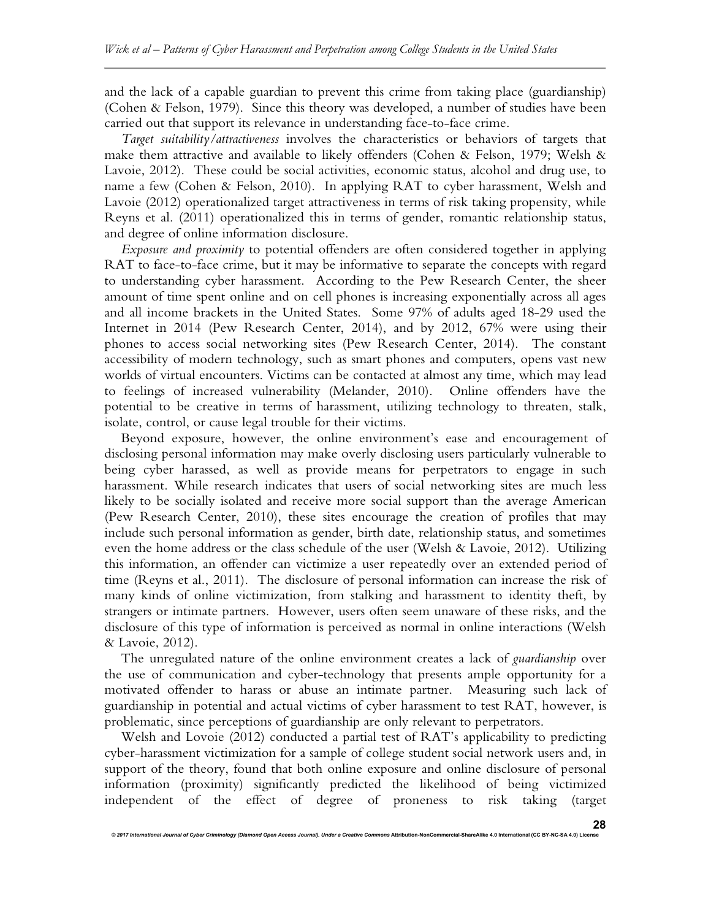and the lack of a capable guardian to prevent this crime from taking place (guardianship) (Cohen & Felson, 1979). Since this theory was developed, a number of studies have been carried out that support its relevance in understanding face-to-face crime.

*Target suitability/attractiveness* involves the characteristics or behaviors of targets that make them attractive and available to likely offenders (Cohen & Felson, 1979; Welsh & Lavoie, 2012). These could be social activities, economic status, alcohol and drug use, to name a few (Cohen & Felson, 2010). In applying RAT to cyber harassment, Welsh and Lavoie (2012) operationalized target attractiveness in terms of risk taking propensity, while Reyns et al. (2011) operationalized this in terms of gender, romantic relationship status, and degree of online information disclosure.

*Exposure and proximity* to potential offenders are often considered together in applying RAT to face-to-face crime, but it may be informative to separate the concepts with regard to understanding cyber harassment. According to the Pew Research Center, the sheer amount of time spent online and on cell phones is increasing exponentially across all ages and all income brackets in the United States. Some 97% of adults aged 18-29 used the Internet in 2014 (Pew Research Center, 2014), and by 2012, 67% were using their phones to access social networking sites (Pew Research Center, 2014). The constant accessibility of modern technology, such as smart phones and computers, opens vast new worlds of virtual encounters. Victims can be contacted at almost any time, which may lead to feelings of increased vulnerability (Melander, 2010). Online offenders have the potential to be creative in terms of harassment, utilizing technology to threaten, stalk, isolate, control, or cause legal trouble for their victims.

Beyond exposure, however, the online environment's ease and encouragement of disclosing personal information may make overly disclosing users particularly vulnerable to being cyber harassed, as well as provide means for perpetrators to engage in such harassment. While research indicates that users of social networking sites are much less likely to be socially isolated and receive more social support than the average American (Pew Research Center, 2010), these sites encourage the creation of profiles that may include such personal information as gender, birth date, relationship status, and sometimes even the home address or the class schedule of the user (Welsh & Lavoie, 2012). Utilizing this information, an offender can victimize a user repeatedly over an extended period of time (Reyns et al., 2011). The disclosure of personal information can increase the risk of many kinds of online victimization, from stalking and harassment to identity theft, by strangers or intimate partners. However, users often seem unaware of these risks, and the disclosure of this type of information is perceived as normal in online interactions (Welsh & Lavoie, 2012).

The unregulated nature of the online environment creates a lack of *guardianship* over the use of communication and cyber-technology that presents ample opportunity for a motivated offender to harass or abuse an intimate partner. Measuring such lack of guardianship in potential and actual victims of cyber harassment to test RAT, however, is problematic, since perceptions of guardianship are only relevant to perpetrators.

Welsh and Lovoie (2012) conducted a partial test of RAT's applicability to predicting cyber-harassment victimization for a sample of college student social network users and, in support of the theory, found that both online exposure and online disclosure of personal information (proximity) significantly predicted the likelihood of being victimized independent of the effect of degree of proneness to risk taking (target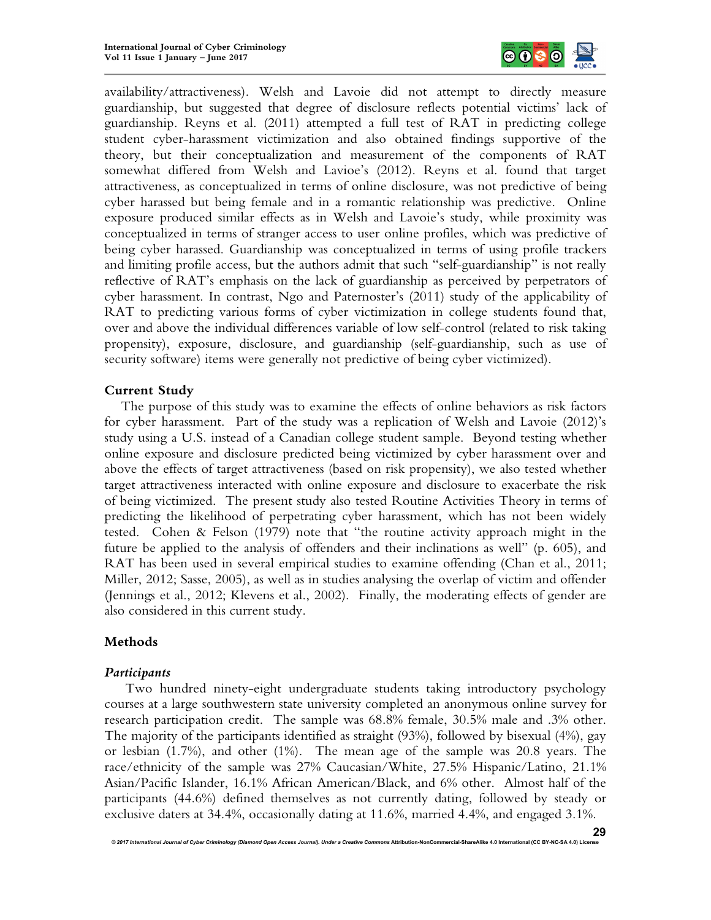

availability/attractiveness). Welsh and Lavoie did not attempt to directly measure guardianship, but suggested that degree of disclosure reflects potential victims' lack of guardianship. Reyns et al. (2011) attempted a full test of RAT in predicting college student cyber-harassment victimization and also obtained findings supportive of the theory, but their conceptualization and measurement of the components of RAT somewhat differed from Welsh and Lavioe's (2012). Reyns et al. found that target attractiveness, as conceptualized in terms of online disclosure, was not predictive of being cyber harassed but being female and in a romantic relationship was predictive. Online exposure produced similar effects as in Welsh and Lavoie's study, while proximity was conceptualized in terms of stranger access to user online profiles, which was predictive of being cyber harassed. Guardianship was conceptualized in terms of using profile trackers and limiting profile access, but the authors admit that such "self-guardianship" is not really reflective of RAT's emphasis on the lack of guardianship as perceived by perpetrators of cyber harassment. In contrast, Ngo and Paternoster's (2011) study of the applicability of RAT to predicting various forms of cyber victimization in college students found that, over and above the individual differences variable of low self-control (related to risk taking propensity), exposure, disclosure, and guardianship (self-guardianship, such as use of security software) items were generally not predictive of being cyber victimized).

## **Current Study**

The purpose of this study was to examine the effects of online behaviors as risk factors for cyber harassment. Part of the study was a replication of Welsh and Lavoie (2012)'s study using a U.S. instead of a Canadian college student sample. Beyond testing whether online exposure and disclosure predicted being victimized by cyber harassment over and above the effects of target attractiveness (based on risk propensity), we also tested whether target attractiveness interacted with online exposure and disclosure to exacerbate the risk of being victimized. The present study also tested Routine Activities Theory in terms of predicting the likelihood of perpetrating cyber harassment, which has not been widely tested. Cohen & Felson (1979) note that "the routine activity approach might in the future be applied to the analysis of offenders and their inclinations as well" (p. 605), and RAT has been used in several empirical studies to examine offending (Chan et al., 2011; Miller, 2012; Sasse, 2005), as well as in studies analysing the overlap of victim and offender (Jennings et al., 2012; Klevens et al., 2002). Finally, the moderating effects of gender are also considered in this current study.

# **Methods**

## *Participants*

Two hundred ninety-eight undergraduate students taking introductory psychology courses at a large southwestern state university completed an anonymous online survey for research participation credit. The sample was 68.8% female, 30.5% male and .3% other. The majority of the participants identified as straight (93%), followed by bisexual (4%), gay or lesbian (1.7%), and other (1%). The mean age of the sample was 20.8 years. The race/ethnicity of the sample was 27% Caucasian/White, 27.5% Hispanic/Latino, 21.1% Asian/Pacific Islander, 16.1% African American/Black, and 6% other. Almost half of the participants (44.6%) defined themselves as not currently dating, followed by steady or exclusive daters at 34.4%, occasionally dating at 11.6%, married 4.4%, and engaged 3.1%.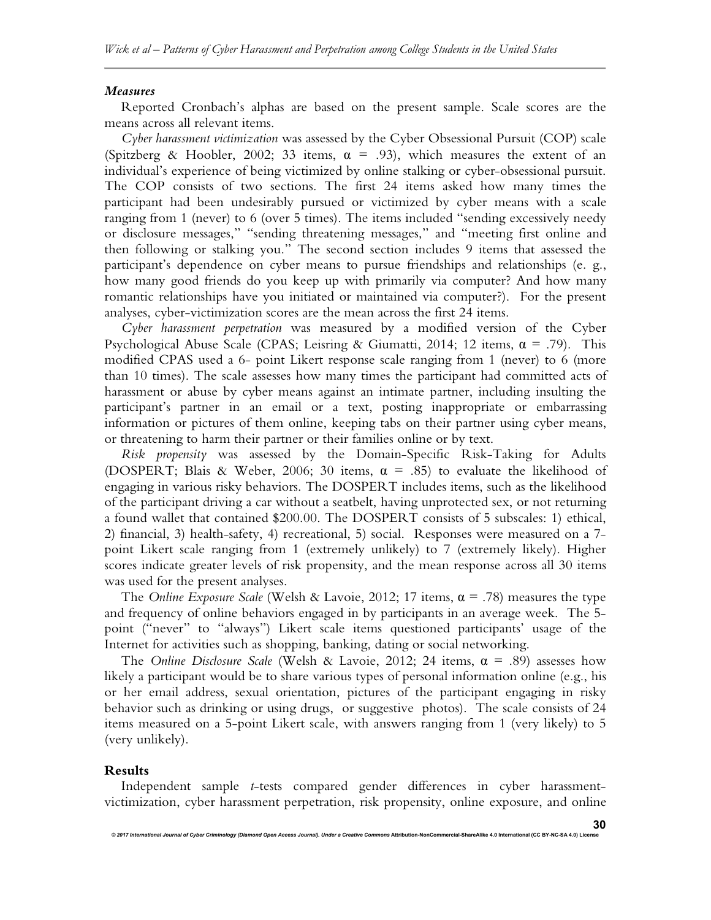#### *Measures*

Reported Cronbach's alphas are based on the present sample. Scale scores are the means across all relevant items.

*Cyber harassment victimization* was assessed by the Cyber Obsessional Pursuit (COP) scale (Spitzberg & Hoobler, 2002; 33 items,  $\alpha = .93$ ), which measures the extent of an individual's experience of being victimized by online stalking or cyber-obsessional pursuit. The COP consists of two sections. The first 24 items asked how many times the participant had been undesirably pursued or victimized by cyber means with a scale ranging from 1 (never) to 6 (over 5 times). The items included "sending excessively needy or disclosure messages," "sending threatening messages," and "meeting first online and then following or stalking you." The second section includes 9 items that assessed the participant's dependence on cyber means to pursue friendships and relationships (e. g., how many good friends do you keep up with primarily via computer? And how many romantic relationships have you initiated or maintained via computer?). For the present analyses, cyber-victimization scores are the mean across the first 24 items.

*Cyber harassment perpetration* was measured by a modified version of the Cyber Psychological Abuse Scale (CPAS; Leisring & Giumatti, 2014; 12 items,  $\alpha = .79$ ). This modified CPAS used a 6- point Likert response scale ranging from 1 (never) to 6 (more than 10 times). The scale assesses how many times the participant had committed acts of harassment or abuse by cyber means against an intimate partner, including insulting the participant's partner in an email or a text, posting inappropriate or embarrassing information or pictures of them online, keeping tabs on their partner using cyber means, or threatening to harm their partner or their families online or by text.

*Risk propensity* was assessed by the Domain-Specific Risk-Taking for Adults (DOSPERT; Blais & Weber, 2006; 30 items,  $\alpha = .85$ ) to evaluate the likelihood of engaging in various risky behaviors. The DOSPERT includes items, such as the likelihood of the participant driving a car without a seatbelt, having unprotected sex, or not returning a found wallet that contained \$200.00. The DOSPERT consists of 5 subscales: 1) ethical, 2) financial, 3) health-safety, 4) recreational, 5) social. Responses were measured on a 7 point Likert scale ranging from 1 (extremely unlikely) to 7 (extremely likely). Higher scores indicate greater levels of risk propensity, and the mean response across all 30 items was used for the present analyses.

The *Online Exposure Scale* (Welsh & Lavoie, 2012; 17 items,  $\alpha = .78$ ) measures the type and frequency of online behaviors engaged in by participants in an average week. The 5 point ("never" to "always") Likert scale items questioned participants' usage of the Internet for activities such as shopping, banking, dating or social networking.

The *Online Disclosure Scale* (Welsh & Lavoie, 2012; 24 items, α = .89) assesses how likely a participant would be to share various types of personal information online (e.g., his or her email address, sexual orientation, pictures of the participant engaging in risky behavior such as drinking or using drugs, or suggestive photos). The scale consists of 24 items measured on a 5-point Likert scale, with answers ranging from 1 (very likely) to 5 (very unlikely).

#### **Results**

Independent sample *t*-tests compared gender differences in cyber harassmentvictimization, cyber harassment perpetration, risk propensity, online exposure, and online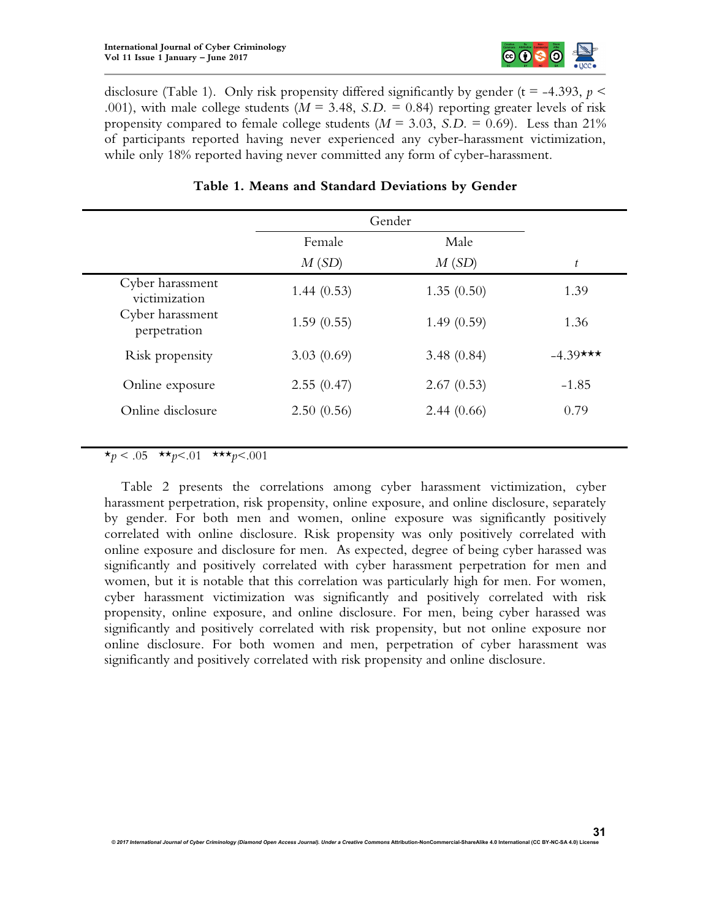

disclosure (Table 1). Only risk propensity differed significantly by gender ( $t = -4.393$ ,  $p <$ .001), with male college students ( $M = 3.48$ , *S.D.* = 0.84) reporting greater levels of risk propensity compared to female college students  $(M = 3.03, S.D. = 0.69)$ . Less than 21% of participants reported having never experienced any cyber-harassment victimization, while only 18% reported having never committed any form of cyber-harassment.

|                                   | Gender     |            |             |
|-----------------------------------|------------|------------|-------------|
|                                   | Female     | Male       |             |
|                                   | M(SD)      | M(SD)      | t           |
| Cyber harassment<br>victimization | 1.44(0.53) | 1.35(0.50) | 1.39        |
| Cyber harassment<br>perpetration  | 1.59(0.55) | 1.49(0.59) | 1.36        |
| Risk propensity                   | 3.03(0.69) | 3.48(0.84) | $-4.39$ *** |
| Online exposure                   | 2.55(0.47) | 2.67(0.53) | $-1.85$     |
| Online disclosure                 | 2.50(0.56) | 2.44(0.66) | 0.79        |
|                                   |            |            |             |

# **Table 1. Means and Standard Deviations by Gender**

 $\star_p$  < .05  $\star\star_p$  < .01  $\star\star\star_p$  < .001

Table 2 presents the correlations among cyber harassment victimization, cyber harassment perpetration, risk propensity, online exposure, and online disclosure, separately by gender. For both men and women, online exposure was significantly positively correlated with online disclosure. Risk propensity was only positively correlated with online exposure and disclosure for men. As expected, degree of being cyber harassed was significantly and positively correlated with cyber harassment perpetration for men and women, but it is notable that this correlation was particularly high for men. For women, cyber harassment victimization was significantly and positively correlated with risk propensity, online exposure, and online disclosure. For men, being cyber harassed was significantly and positively correlated with risk propensity, but not online exposure nor online disclosure. For both women and men, perpetration of cyber harassment was significantly and positively correlated with risk propensity and online disclosure.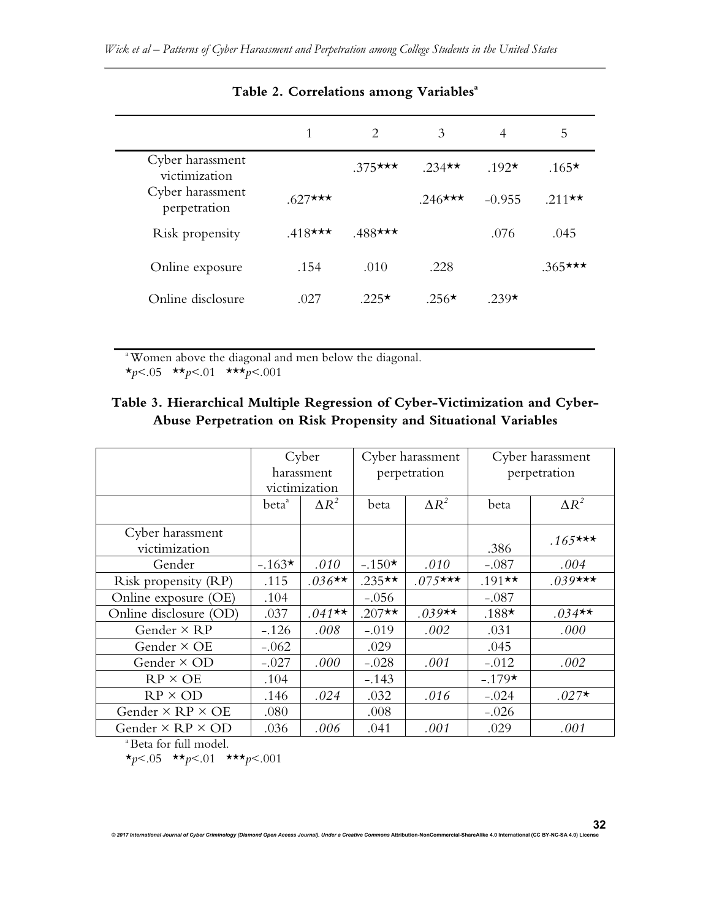|                                   | 1          | $\mathcal{D}_{\mathcal{L}}$ | 3           | 4           | 5          |
|-----------------------------------|------------|-----------------------------|-------------|-------------|------------|
| Cyber harassment<br>victimization |            | $.375***$                   | $.234**$    | $.192\star$ | $.165*$    |
| Cyber harassment<br>perpetration  | $.627$ *** |                             | $.246$ ***  | $-0.955$    | $.211$ **  |
| Risk propensity                   | $.418***$  | $.488$ ***                  |             | .076        | .045       |
| Online exposure                   | .154       | .010                        | .228        |             | $.365$ *** |
| Online disclosure                 | .027       | $.225\star$                 | $.256\star$ | 239 $\star$ |            |

# **Table 2. Correlations among Variables<sup>a</sup>**

<sup>a</sup> Women above the diagonal and men below the diagonal. \**p*<.05 \*\**p*<.01 \*\*\**p*<.001

# **Table 3. Hierarchical Multiple Regression of Cyber-Victimization and Cyber-Abuse Perpetration on Risk Propensity and Situational Variables**

|                                | Cyber             |              | Cyber harassment |              | Cyber harassment |              |  |  |
|--------------------------------|-------------------|--------------|------------------|--------------|------------------|--------------|--|--|
|                                |                   | harassment   | perpetration     |              | perpetration     |              |  |  |
|                                | victimization     |              |                  |              |                  |              |  |  |
|                                | beta <sup>ª</sup> | $\Delta R^2$ | beta             | $\Delta R^2$ | beta             | $\Delta R^2$ |  |  |
| Cyber harassment               |                   |              |                  |              |                  |              |  |  |
| victimization                  |                   |              |                  |              | .386             | $.165***$    |  |  |
| Gender                         | $-.163*$          | .010         | $-.150\star$     | .010         | $-.087$          | .004         |  |  |
| Risk propensity (RP)           | .115              | $.036**$     | $.235**$         | $.075$ ***   | $.191**$         | $.039***$    |  |  |
| Online exposure (OE)           | .104              |              | $-.056$          |              | $-.087$          |              |  |  |
| Online disclosure (OD)         | .037              | $.041**$     | $.207**$         | $.039**$     | $.188*$          | $.034**$     |  |  |
| Gender $\times$ RP             | $-.126$           | .008         | $-.019$          | .002         | .031             | .000         |  |  |
| Gender $\times$ OE             | $-.062$           |              | .029             |              | .045             |              |  |  |
| Gender × OD                    | $-.027$           | .000         | $-.028$          | .001         | $-.012$          | .002         |  |  |
| $RP \times OE$                 | .104              |              | $-.143$          |              | $-.179*$         |              |  |  |
| $RP \times OD$                 | .146              | .024         | .032             | .016         | $-.024$          | $.027*$      |  |  |
| Gender $\times$ RP $\times$ OE | .080              |              | .008             |              | $-.026$          |              |  |  |
| Gender $\times$ RP $\times$ OD | .036              | .006         | .041             | .001         | .029             | .001         |  |  |

*© 2017 International Journal of Cyber Criminology (Diamond Open Access Journal). Under a Creative Commons* **Attribution-NonCommercial-ShareAlike 4.0 International (CC BY-NC-SA 4.0) License**

<sup>a</sup> Beta for full model.

 $\star p < .05$   $\star \star p < .01$   $\star \star \star p < .001$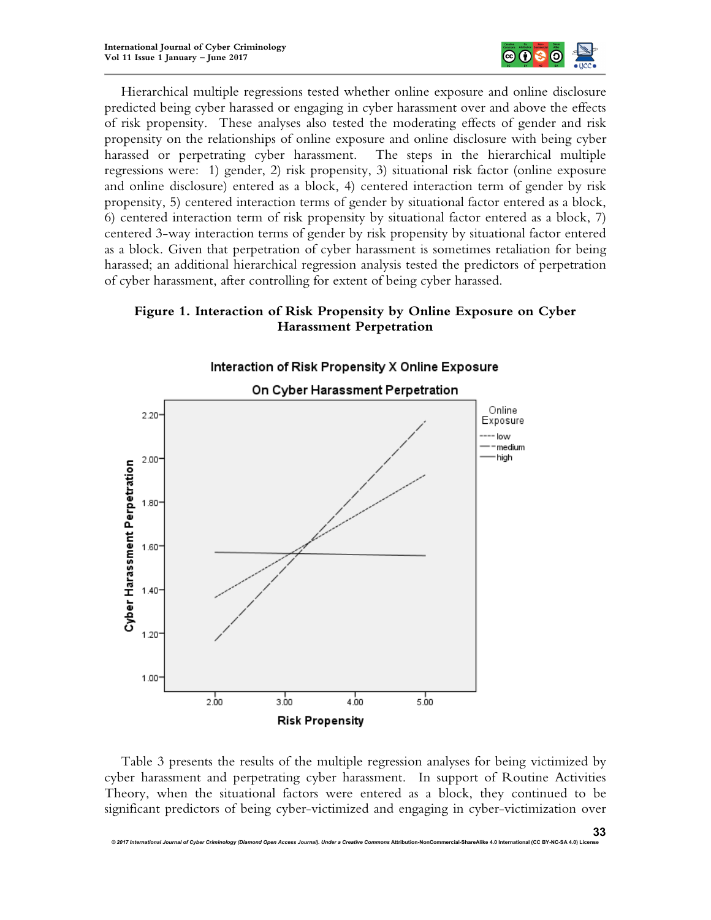

Hierarchical multiple regressions tested whether online exposure and online disclosure predicted being cyber harassed or engaging in cyber harassment over and above the effects of risk propensity. These analyses also tested the moderating effects of gender and risk propensity on the relationships of online exposure and online disclosure with being cyber harassed or perpetrating cyber harassment. The steps in the hierarchical multiple regressions were: 1) gender, 2) risk propensity, 3) situational risk factor (online exposure and online disclosure) entered as a block, 4) centered interaction term of gender by risk propensity, 5) centered interaction terms of gender by situational factor entered as a block, 6) centered interaction term of risk propensity by situational factor entered as a block, 7) centered 3-way interaction terms of gender by risk propensity by situational factor entered as a block. Given that perpetration of cyber harassment is sometimes retaliation for being harassed; an additional hierarchical regression analysis tested the predictors of perpetration of cyber harassment, after controlling for extent of being cyber harassed.

# **Figure 1. Interaction of Risk Propensity by Online Exposure on Cyber Harassment Perpetration**



Table 3 presents the results of the multiple regression analyses for being victimized by cyber harassment and perpetrating cyber harassment. In support of Routine Activities Theory, when the situational factors were entered as a block, they continued to be significant predictors of being cyber-victimized and engaging in cyber-victimization over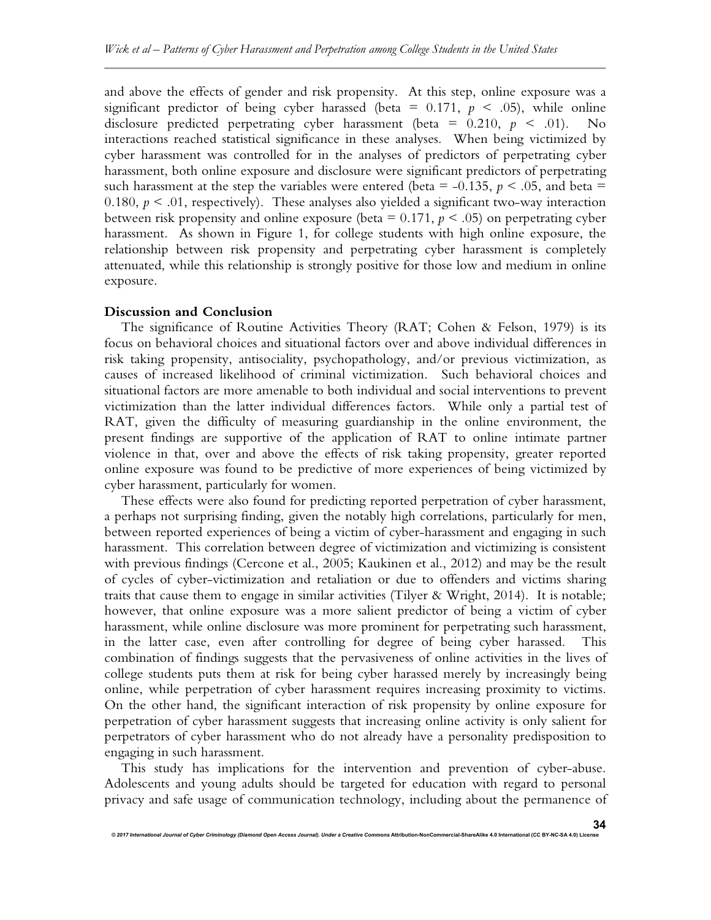and above the effects of gender and risk propensity. At this step, online exposure was a significant predictor of being cyber harassed (beta =  $0.171$ ,  $p \le 0.05$ ), while online disclosure predicted perpetrating cyber harassment (beta =  $0.210, p \le .01$ ). No interactions reached statistical significance in these analyses. When being victimized by cyber harassment was controlled for in the analyses of predictors of perpetrating cyber harassment, both online exposure and disclosure were significant predictors of perpetrating such harassment at the step the variables were entered (beta =  $-0.135$ ,  $p < .05$ , and beta = 0.180,  $p < 0.01$ , respectively). These analyses also yielded a significant two-way interaction between risk propensity and online exposure (beta =  $0.171$ ,  $p \le 0.05$ ) on perpetrating cyber harassment. As shown in Figure 1, for college students with high online exposure, the relationship between risk propensity and perpetrating cyber harassment is completely attenuated, while this relationship is strongly positive for those low and medium in online exposure.

#### **Discussion and Conclusion**

The significance of Routine Activities Theory (RAT; Cohen & Felson, 1979) is its focus on behavioral choices and situational factors over and above individual differences in risk taking propensity, antisociality, psychopathology, and/or previous victimization, as causes of increased likelihood of criminal victimization. Such behavioral choices and situational factors are more amenable to both individual and social interventions to prevent victimization than the latter individual differences factors. While only a partial test of RAT, given the difficulty of measuring guardianship in the online environment, the present findings are supportive of the application of RAT to online intimate partner violence in that, over and above the effects of risk taking propensity, greater reported online exposure was found to be predictive of more experiences of being victimized by cyber harassment, particularly for women.

These effects were also found for predicting reported perpetration of cyber harassment, a perhaps not surprising finding, given the notably high correlations, particularly for men, between reported experiences of being a victim of cyber-harassment and engaging in such harassment. This correlation between degree of victimization and victimizing is consistent with previous findings (Cercone et al., 2005; Kaukinen et al., 2012) and may be the result of cycles of cyber-victimization and retaliation or due to offenders and victims sharing traits that cause them to engage in similar activities (Tilyer & Wright, 2014). It is notable; however, that online exposure was a more salient predictor of being a victim of cyber harassment, while online disclosure was more prominent for perpetrating such harassment, in the latter case, even after controlling for degree of being cyber harassed. This combination of findings suggests that the pervasiveness of online activities in the lives of college students puts them at risk for being cyber harassed merely by increasingly being online, while perpetration of cyber harassment requires increasing proximity to victims. On the other hand, the significant interaction of risk propensity by online exposure for perpetration of cyber harassment suggests that increasing online activity is only salient for perpetrators of cyber harassment who do not already have a personality predisposition to engaging in such harassment.

This study has implications for the intervention and prevention of cyber-abuse. Adolescents and young adults should be targeted for education with regard to personal privacy and safe usage of communication technology, including about the permanence of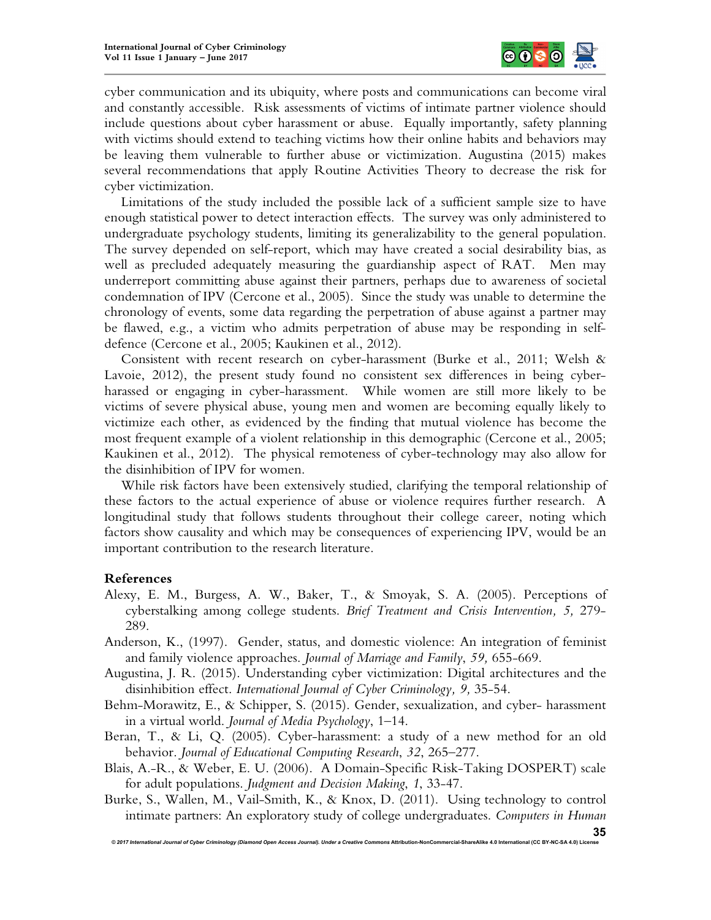

cyber communication and its ubiquity, where posts and communications can become viral and constantly accessible. Risk assessments of victims of intimate partner violence should include questions about cyber harassment or abuse. Equally importantly, safety planning with victims should extend to teaching victims how their online habits and behaviors may be leaving them vulnerable to further abuse or victimization. Augustina (2015) makes several recommendations that apply Routine Activities Theory to decrease the risk for cyber victimization.

Limitations of the study included the possible lack of a sufficient sample size to have enough statistical power to detect interaction effects. The survey was only administered to undergraduate psychology students, limiting its generalizability to the general population. The survey depended on self-report, which may have created a social desirability bias, as well as precluded adequately measuring the guardianship aspect of RAT. Men may underreport committing abuse against their partners, perhaps due to awareness of societal condemnation of IPV (Cercone et al., 2005). Since the study was unable to determine the chronology of events, some data regarding the perpetration of abuse against a partner may be flawed, e.g., a victim who admits perpetration of abuse may be responding in selfdefence (Cercone et al., 2005; Kaukinen et al., 2012).

Consistent with recent research on cyber-harassment (Burke et al., 2011; Welsh & Lavoie, 2012), the present study found no consistent sex differences in being cyberharassed or engaging in cyber-harassment. While women are still more likely to be victims of severe physical abuse, young men and women are becoming equally likely to victimize each other, as evidenced by the finding that mutual violence has become the most frequent example of a violent relationship in this demographic (Cercone et al., 2005; Kaukinen et al., 2012). The physical remoteness of cyber-technology may also allow for the disinhibition of IPV for women.

While risk factors have been extensively studied, clarifying the temporal relationship of these factors to the actual experience of abuse or violence requires further research. A longitudinal study that follows students throughout their college career, noting which factors show causality and which may be consequences of experiencing IPV, would be an important contribution to the research literature.

## **References**

- Alexy, E. M., Burgess, A. W., Baker, T., & Smoyak, S. A. (2005). Perceptions of cyberstalking among college students. *Brief Treatment and Crisis Intervention, 5,* 279- 289.
- Anderson, K., (1997). Gender, status, and domestic violence: An integration of feminist and family violence approaches. *Journal of Marriage and Family*, *59,* 655-669.
- Augustina, J. R. (2015). Understanding cyber victimization: Digital architectures and the disinhibition effect. *International Journal of Cyber Criminology, 9,* 35-54.
- Behm-Morawitz, E., & Schipper, S. (2015). Gender, sexualization, and cyber- harassment in a virtual world. *Journal of Media Psychology*, 1–14.
- Beran, T., & Li, Q. (2005). Cyber-harassment: a study of a new method for an old behavior. *Journal of Educational Computing Research*, *32*, 265–277.
- Blais, A.-R., & Weber, E. U. (2006). A Domain-Specific Risk-Taking DOSPERT) scale for adult populations. *Judgment and Decision Making*, *1*, 33-47.

Burke, S., Wallen, M., Vail-Smith, K., & Knox, D. (2011). Using technology to control intimate partners: An exploratory study of college undergraduates. *Computers in Human*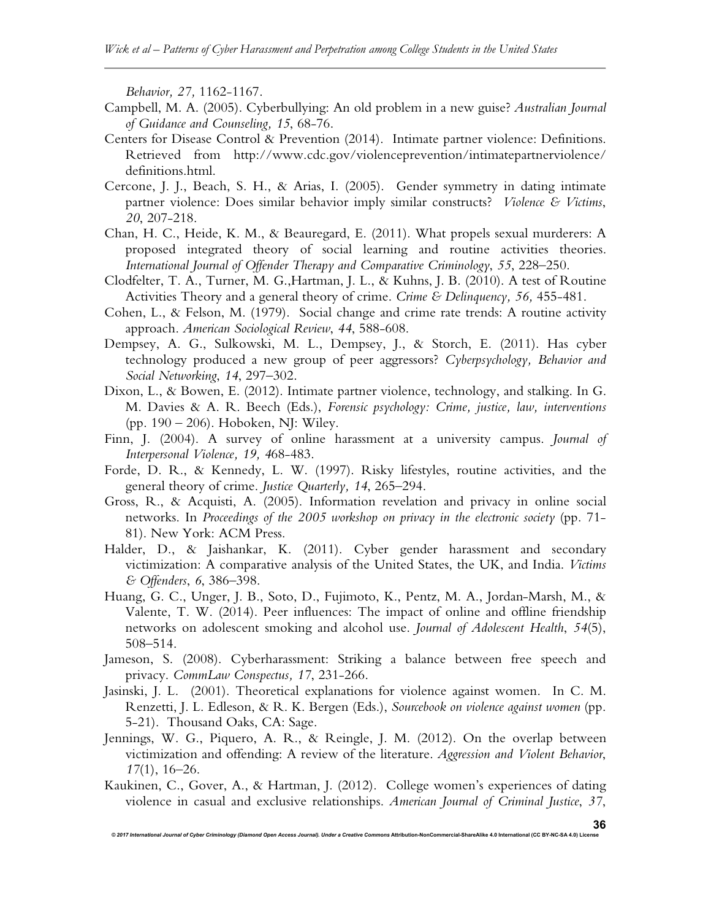*Behavior, 27,* 1162-1167.

- Campbell, M. A. (2005). Cyberbullying: An old problem in a new guise? *Australian Journal of Guidance and Counseling, 15*, 68-76.
- Centers for Disease Control & Prevention (2014). Intimate partner violence: Definitions. Retrieved from http://www.cdc.gov/violenceprevention/intimatepartnerviolence/ definitions.html.
- Cercone, J. J., Beach, S. H., & Arias, I. (2005). Gender symmetry in dating intimate partner violence: Does similar behavior imply similar constructs? *Violence & Victims*, *20*, 207-218.
- Chan, H. C., Heide, K. M., & Beauregard, E. (2011). What propels sexual murderers: A proposed integrated theory of social learning and routine activities theories. *International Journal of Offender Therapy and Comparative Criminology*, *55*, 228–250.
- Clodfelter, T. A., Turner, M. G.,Hartman, J. L., & Kuhns, J. B. (2010). A test of Routine Activities Theory and a general theory of crime. *Crime & Delinquency, 56,* 455-481.
- Cohen, L., & Felson, M. (1979). Social change and crime rate trends: A routine activity approach. *American Sociological Review*, *44*, 588-608.
- Dempsey, A. G., Sulkowski, M. L., Dempsey, J., & Storch, E. (2011). Has cyber technology produced a new group of peer aggressors? *Cyberpsychology, Behavior and Social Networking*, *14*, 297–302.
- Dixon, L., & Bowen, E. (2012). Intimate partner violence, technology, and stalking. In G. M. Davies & A. R. Beech (Eds.), *Forensic psychology: Crime, justice, law, interventions* (pp. 190 – 206). Hoboken, NJ: Wiley.
- Finn, J. (2004). A survey of online harassment at a university campus. *Journal of Interpersonal Violence, 19, 4*68-483.
- Forde, D. R., & Kennedy, L. W. (1997). Risky lifestyles, routine activities, and the general theory of crime. *Justice Quarterly, 14*, 265–294.
- Gross, R., & Acquisti, A. (2005). Information revelation and privacy in online social networks. In *Proceedings of the 2005 workshop on privacy in the electronic society* (pp. 71- 81). New York: ACM Press.
- Halder, D., & Jaishankar, K. (2011). Cyber gender harassment and secondary victimization: A comparative analysis of the United States, the UK, and India. *Victims & Offenders*, *6*, 386–398.
- Huang, G. C., Unger, J. B., Soto, D., Fujimoto, K., Pentz, M. A., Jordan-Marsh, M., & Valente, T. W. (2014). Peer influences: The impact of online and offline friendship networks on adolescent smoking and alcohol use. *Journal of Adolescent Health*, *54*(5), 508–514.
- Jameson, S. (2008). Cyberharassment: Striking a balance between free speech and privacy. *CommLaw Conspectus, 17*, 231-266.
- Jasinski, J. L. (2001). Theoretical explanations for violence against women. In C. M. Renzetti, J. L. Edleson, & R. K. Bergen (Eds.), *Sourcebook on violence against women* (pp. 5-21). Thousand Oaks, CA: Sage.
- Jennings, W. G., Piquero, A. R., & Reingle, J. M. (2012). On the overlap between victimization and offending: A review of the literature. *Aggression and Violent Behavior*, *17*(1), 16–26.
- Kaukinen, C., Gover, A., & Hartman, J. (2012). College women's experiences of dating violence in casual and exclusive relationships. *American Journal of Criminal Justice*, *37*,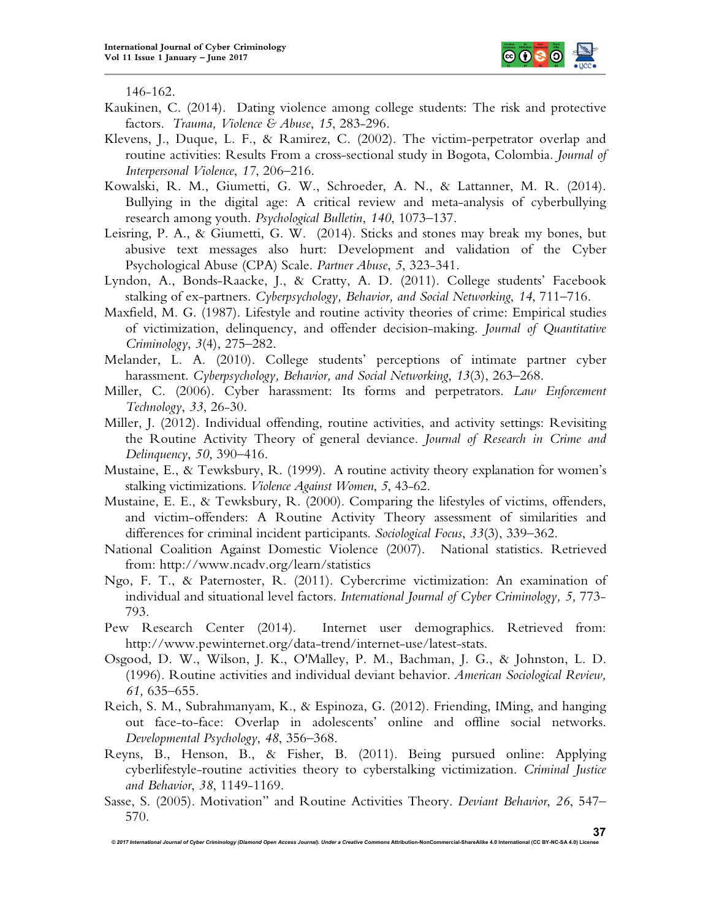

146-162.

- Kaukinen, C. (2014). Dating violence among college students: The risk and protective factors. *Trauma, Violence & Abuse*, *15*, 283-296.
- Klevens, J., Duque, L. F., & Ramirez, C. (2002). The victim-perpetrator overlap and routine activities: Results From a cross-sectional study in Bogota, Colombia. *Journal of Interpersonal Violence*, *17*, 206–216.
- Kowalski, R. M., Giumetti, G. W., Schroeder, A. N., & Lattanner, M. R. (2014). Bullying in the digital age: A critical review and meta-analysis of cyberbullying research among youth. *Psychological Bulletin*, *140*, 1073–137.
- Leisring, P. A., & Giumetti, G. W. (2014). Sticks and stones may break my bones, but abusive text messages also hurt: Development and validation of the Cyber Psychological Abuse (CPA) Scale. *Partner Abuse*, *5*, 323-341.
- Lyndon, A., Bonds-Raacke, J., & Cratty, A. D. (2011). College students' Facebook stalking of ex-partners. *Cyberpsychology, Behavior, and Social Networking*, *14*, 711–716.
- Maxfield, M. G. (1987). Lifestyle and routine activity theories of crime: Empirical studies of victimization, delinquency, and offender decision-making. *Journal of Quantitative Criminology*, *3*(4), 275–282.
- Melander, L. A. (2010). College students' perceptions of intimate partner cyber harassment. *Cyberpsychology, Behavior, and Social Networking*, *13*(3), 263–268.
- Miller, C. (2006). Cyber harassment: Its forms and perpetrators. *Law Enforcement Technology*, *33*, 26-30.
- Miller, J. (2012). Individual offending, routine activities, and activity settings: Revisiting the Routine Activity Theory of general deviance. *Journal of Research in Crime and Delinquency*, *50*, 390–416.
- Mustaine, E., & Tewksbury, R. (1999). A routine activity theory explanation for women's stalking victimizations. *Violence Against Women*, *5*, 43-62.
- Mustaine, E. E., & Tewksbury, R. (2000). Comparing the lifestyles of victims, offenders, and victim-offenders: A Routine Activity Theory assessment of similarities and differences for criminal incident participants. *Sociological Focus*, *33*(3), 339–362.
- National Coalition Against Domestic Violence (2007). National statistics. Retrieved from: http://www.ncadv.org/learn/statistics
- Ngo, F. T., & Paternoster, R. (2011). Cybercrime victimization: An examination of individual and situational level factors. *International Journal of Cyber Criminology, 5,* 773- 793.
- Pew Research Center (2014). Internet user demographics. Retrieved from: http://www.pewinternet.org/data-trend/internet-use/latest-stats.
- Osgood, D. W., Wilson, J. K., O'Malley, P. M., Bachman, J. G., & Johnston, L. D. (1996). Routine activities and individual deviant behavior. *American Sociological Review, 61,* 635–655.
- Reich, S. M., Subrahmanyam, K., & Espinoza, G. (2012). Friending, IMing, and hanging out face-to-face: Overlap in adolescents' online and offline social networks. *Developmental Psychology*, *48*, 356–368.
- Reyns, B., Henson, B., & Fisher, B. (2011). Being pursued online: Applying cyberlifestyle-routine activities theory to cyberstalking victimization. *Criminal Justice and Behavior*, *38*, 1149-1169.
- Sasse, S. (2005). Motivation" and Routine Activities Theory. *Deviant Behavior*, *26*, 547– 570.